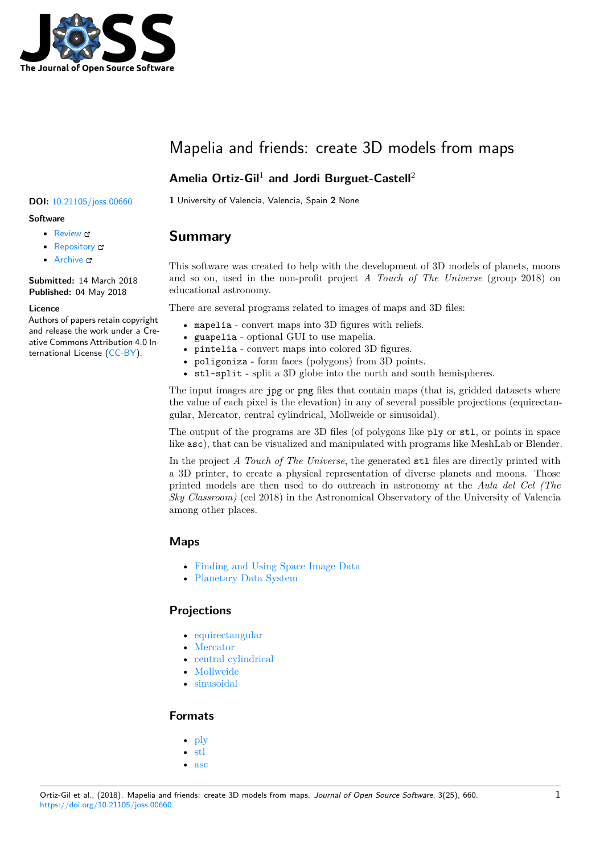

# Mapelia and friends: create 3D models from maps

## **Amelia Ortiz-Gil**<sup>1</sup> **and Jordi Burguet-Castell**<sup>2</sup>

### **DOI:** 10.21105/joss.00660 **1** University of Valencia, Valencia, Spain **2** None

#### **Software**

- Review &
- [Repository](https://doi.org/10.21105/joss.00660) C
- Archive &

**Subm[itted:](https://github.com/openjournals/joss-reviews/issues/660)** 14 March 2018 **Published:** [04 M](https://github.com/jordibc/mapelia)ay 2018

#### **Licen[ce](http://dx.doi.org/10.5281/zenodo.1240569)**

Authors of papers retain copyright and release the work under a Creative Commons Attribution 4.0 International License (CC-BY).

## **Summary**

This software was created to help with the development of 3D models of planets, moons and so on, used in the non-profit project *A Touch of The Universe* (group 2018) on educational astronomy.

There are several programs related to images of maps and 3D files:

- mapelia convert maps into 3D figures with reliefs.
- guapelia optional GUI to use mapelia.
- pintelia convert maps into colored 3D figures.
- poligoniza form faces (polygons) from 3D points.
- stl-split split a 3D globe into the north and south hemispheres.

The input images are jpg or png files that contain maps (that is, gridded datasets where the value of each pixel is the elevation) in any of several possible projections (equirectangular, Mercator, central cylindrical, Mollweide or sinusoidal).

The output of the programs are 3D files (of polygons like ply or stl, or points in space like asc), that can be visualized and manipulated with programs like MeshLab or Blender.

In the project *A Touch of The Universe*, the generated stl files are directly printed with a 3D printer, to create a physical representation of diverse planets and moons. Those printed models are then used to do outreach in astronomy at the *Aula del Cel (The Sky Classroom)* (cel 2018) in the Astronomical Observatory of the University of Valencia among other places.

### **Maps**

- Finding and Using Space Image Data
- Planetary Data System

### **Proj[ections](http://www.planetary.org/explore/space-topics/space-imaging/data.html)**

- [equirectangular](https://en.wikipedia.org/wiki/Planetary_Data_System)
- Mercator
- central cylindrical
- Mollweide
- [sinusoidal](https://en.wikipedia.org/wiki/Equirectangular_projection)

#### **For[mats](https://en.wikipedia.org/wiki/Mollweide_projection)**

- [ply](https://en.wikipedia.org/wiki/Sinusoidal_projection)
- stl
- asc